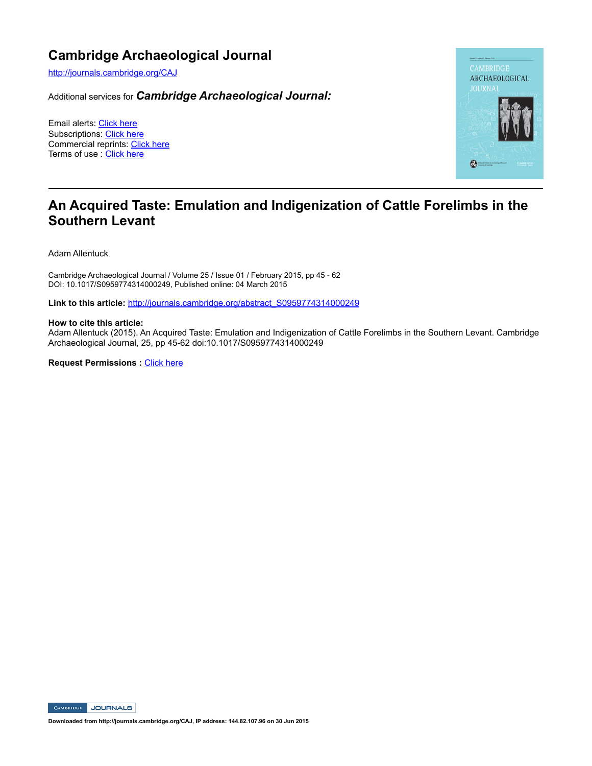# **Cambridge Archaeological Journal**

http://journals.cambridge.org/CAJ

Additional services for *Cambridge Archaeological Journal:*

Email alerts: Click here Subscriptions: Click here Commercial reprints: Click here Terms of use : Click here



# **An Acquired Taste: Emulation and Indigenization of Cattle Forelimbs in the Southern Levant**

Adam Allentuck

Cambridge Archaeological Journal / Volume 25 / Issue 01 / February 2015, pp 45 - 62 DOI: 10.1017/S0959774314000249, Published online: 04 March 2015

Link to this article: http://journals.cambridge.org/abstract\_S0959774314000249

## **How to cite this article:**

Adam Allentuck (2015). An Acquired Taste: Emulation and Indigenization of Cattle Forelimbs in the Southern Levant. Cambridge Archaeological Journal, 25, pp 45-62 doi:10.1017/S0959774314000249

**Request Permissions : Click here** 

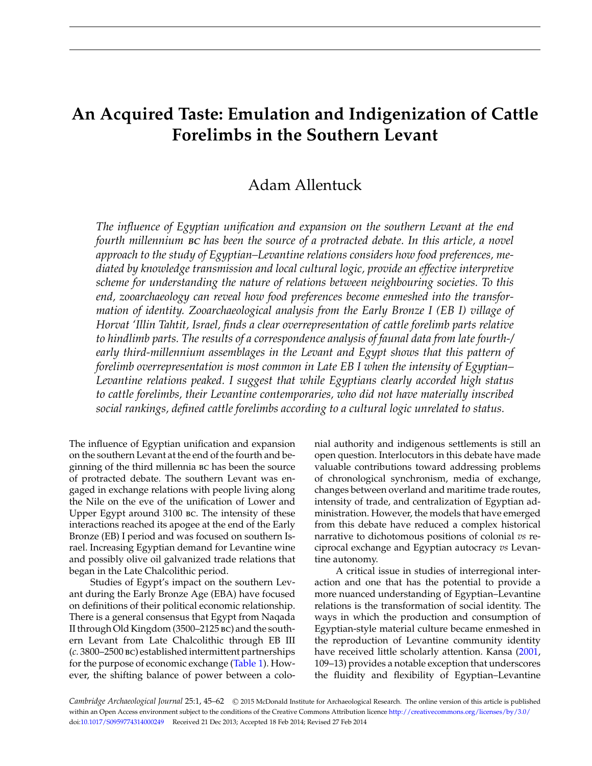# **An Acquired Taste: Emulation and Indigenization of Cattle Forelimbs in the Southern Levant**

# Adam Allentuck

*The influence of Egyptian unification and expansion on the southern Levant at the end fourth millennium* bc *has been the source of a protracted debate. In this article, a novel approach to the study of Egyptian–Levantine relations considers how food preferences, mediated by knowledge transmission and local cultural logic, provide an effective interpretive scheme for understanding the nature of relations between neighbouring societies. To this end, zooarchaeology can reveal how food preferences become enmeshed into the transformation of identity. Zooarchaeological analysis from the Early Bronze I (EB I) village of Horvat 'Illin Tahtit, Israel, finds a clear overrepresentation of cattle forelimb parts relative to hindlimb parts. The results of a correspondence analysis of faunal data from late fourth-/ early third-millennium assemblages in the Levant and Egypt shows that this pattern of forelimb overrepresentation is most common in Late EB I when the intensity of Egyptian– Levantine relations peaked. I suggest that while Egyptians clearly accorded high status to cattle forelimbs, their Levantine contemporaries, who did not have materially inscribed social rankings, defined cattle forelimbs according to a cultural logic unrelated to status.*

The influence of Egyptian unification and expansion on the southern Levant at the end of the fourth and beginning of the third millennia bc has been the source of protracted debate. The southern Levant was engaged in exchange relations with people living along the Nile on the eve of the unification of Lower and Upper Egypt around 3100 bc. The intensity of these interactions reached its apogee at the end of the Early Bronze (EB) I period and was focused on southern Israel. Increasing Egyptian demand for Levantine wine and possibly olive oil galvanized trade relations that began in the Late Chalcolithic period.

Studies of Egypt's impact on the southern Levant during the Early Bronze Age (EBA) have focused on definitions of their political economic relationship. There is a general consensus that Egypt from Naqada II through Old Kingdom (3500–2125 bc) and the southern Levant from Late Chalcolithic through EB III (*c.* 3800–2500 bc) established intermittent partnerships for the purpose of economic exchange [\(Table 1\)](#page-2-0). However, the shifting balance of power between a colonial authority and indigenous settlements is still an open question. Interlocutors in this debate have made valuable contributions toward addressing problems of chronological synchronism, media of exchange, changes between overland and maritime trade routes, intensity of trade, and centralization of Egyptian administration. However, the models that have emerged from this debate have reduced a complex historical narrative to dichotomous positions of colonial *vs* reciprocal exchange and Egyptian autocracy *vs* Levantine autonomy.

A critical issue in studies of interregional interaction and one that has the potential to provide a more nuanced understanding of Egyptian–Levantine relations is the transformation of social identity. The ways in which the production and consumption of Egyptian-style material culture became enmeshed in the reproduction of Levantine community identity have received little scholarly attention. Kansa [\(2001,](#page-16-0) 109–13) provides a notable exception that underscores the fluidity and flexibility of Egyptian–Levantine

C*ambridge Archaeological Journal* 25:1, 45–62 © 2015 McDonald Institute for Archaeological Research. The online version of this article is published within an Open Access environment subject to the conditions of the Creative Commons Attribution licence <http://creativecommons.org/licenses/by/3.0/> doi[:10.1017/S0959774314000249](http://dx.doi.org/10.1017/S0959774314000249) Received 21 Dec 2013; Accepted 18 Feb 2014; Revised 27 Feb 2014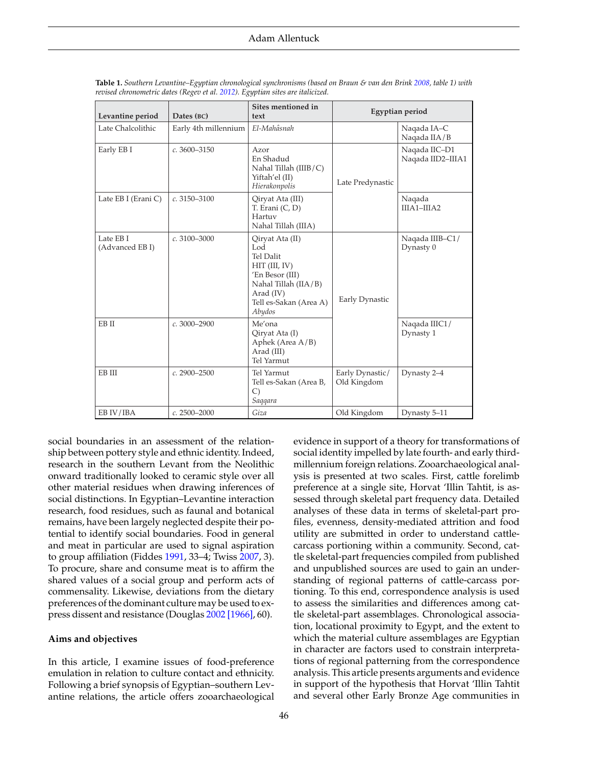| Levantine period             | Dates (BC)           | Sites mentioned in<br>text                                                                                                                                  | Egyptian period                |                                    |  |  |
|------------------------------|----------------------|-------------------------------------------------------------------------------------------------------------------------------------------------------------|--------------------------------|------------------------------------|--|--|
| Late Chalcolithic            | Early 4th millennium | El-Mahâsnah                                                                                                                                                 |                                | Naqada IA-C<br>Naqada IIA/B        |  |  |
| Early EB I                   | $c.3600 - 3150$      | Azor<br>En Shadud<br>Nahal Tillah (IIIB/C)<br>Yiftah'el (II)<br>Hierakonpolis                                                                               | Late Predynastic               | Naqada IIC-D1<br>Naqada IID2-IIIA1 |  |  |
| Late EB I (Erani C)          | c. 3150-3100         | Qiryat Ata (III)<br>T. Erani (C, D)<br>Hartuv<br>Nahal Tillah (IIIA)                                                                                        |                                | Naqada<br>$IIIA1-IIIA2$            |  |  |
| Late EB I<br>(Advanced EB I) | $c.3100 - 3000$      | Qiryat Ata (II)<br>Lod<br><b>Tel Dalit</b><br>$HIT$ (III, IV)<br>'En Besor (III)<br>Nahal Tillah $(IIA/B)$<br>Arad (IV)<br>Tell es-Sakan (Area A)<br>Abydos | Early Dynastic                 | Naqada IIIB-C1/<br>Dynasty 0       |  |  |
| EB II                        | $c.3000 - 2900$      | Me'ona<br>Qiryat Ata (I)<br>Aphek (Area A/B)<br>Arad $(III)$<br><b>Tel Yarmut</b>                                                                           |                                | Naqada IIIC1/<br>Dynasty 1         |  |  |
| EB III                       | $c. 2900 - 2500$     | <b>Tel Yarmut</b><br>Tell es-Sakan (Area B,<br>$\mathcal{C}$<br>Saqqara                                                                                     | Early Dynastic/<br>Old Kingdom | Dynasty 2-4                        |  |  |
| EB IV/IBA                    | $c. 2500 - 2000$     | Giza                                                                                                                                                        | Old Kingdom                    | Dynasty 5-11                       |  |  |

<span id="page-2-0"></span>**Table 1.** *Southern Levantine–Egyptian chronological synchronisms (based on Braun & van den Brink [2008,](#page-15-0) table 1) with revised chronometric dates (Regev et al. [2012\)](#page-17-0). Egyptian sites are italicized.*

social boundaries in an assessment of the relationship between pottery style and ethnic identity. Indeed, research in the southern Levant from the Neolithic onward traditionally looked to ceramic style over all other material residues when drawing inferences of social distinctions. In Egyptian–Levantine interaction research, food residues, such as faunal and botanical remains, have been largely neglected despite their potential to identify social boundaries. Food in general and meat in particular are used to signal aspiration to group affiliation (Fiddes [1991,](#page-16-0) 33–4; Twiss [2007,](#page-18-0) 3). To procure, share and consume meat is to affirm the shared values of a social group and perform acts of commensality. Likewise, deviations from the dietary preferences of the dominant culture may be used to express dissent and resistance (Douglas [2002 \[1966\],](#page-16-0) 60).

## **Aims and objectives**

In this article, I examine issues of food-preference emulation in relation to culture contact and ethnicity. Following a brief synopsis of Egyptian–southern Levantine relations, the article offers zooarchaeological evidence in support of a theory for transformations of social identity impelled by late fourth- and early thirdmillennium foreign relations. Zooarchaeological analysis is presented at two scales. First, cattle forelimb preference at a single site, Horvat 'Illin Tahtit, is assessed through skeletal part frequency data. Detailed analyses of these data in terms of skeletal-part profiles, evenness, density-mediated attrition and food utility are submitted in order to understand cattlecarcass portioning within a community. Second, cattle skeletal-part frequencies compiled from published and unpublished sources are used to gain an understanding of regional patterns of cattle-carcass portioning. To this end, correspondence analysis is used to assess the similarities and differences among cattle skeletal-part assemblages. Chronological association, locational proximity to Egypt, and the extent to which the material culture assemblages are Egyptian in character are factors used to constrain interpretations of regional patterning from the correspondence analysis. This article presents arguments and evidence in support of the hypothesis that Horvat 'Illin Tahtit and several other Early Bronze Age communities in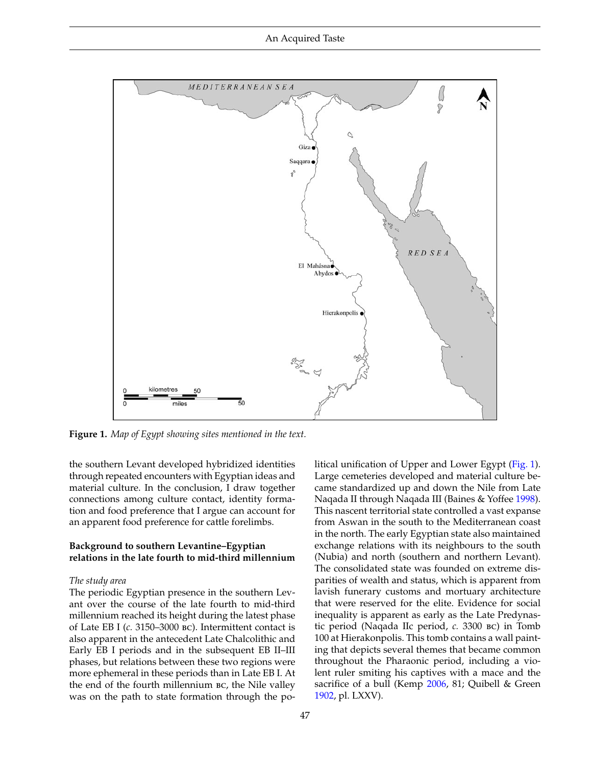

**Figure 1.** *Map of Egypt showing sites mentioned in the text.*

the southern Levant developed hybridized identities through repeated encounters with Egyptian ideas and material culture. In the conclusion, I draw together connections among culture contact, identity formation and food preference that I argue can account for an apparent food preference for cattle forelimbs.

# **Background to southern Levantine–Egyptian relations in the late fourth to mid-third millennium**

## *The study area*

The periodic Egyptian presence in the southern Levant over the course of the late fourth to mid-third millennium reached its height during the latest phase of Late EB I (*c.* 3150–3000 bc). Intermittent contact is also apparent in the antecedent Late Chalcolithic and Early EB I periods and in the subsequent EB II–III phases, but relations between these two regions were more ephemeral in these periods than in Late EB I. At the end of the fourth millennium bc, the Nile valley was on the path to state formation through the poLarge cemeteries developed and material culture became standardized up and down the Nile from Late Naqada II through Naqada III (Baines & Yoffee [1998\)](#page-15-0). This nascent territorial state controlled a vast expanse from Aswan in the south to the Mediterranean coast in the north. The early Egyptian state also maintained exchange relations with its neighbours to the south (Nubia) and north (southern and northern Levant). The consolidated state was founded on extreme disparities of wealth and status, which is apparent from lavish funerary customs and mortuary architecture that were reserved for the elite. Evidence for social inequality is apparent as early as the Late Predynastic period (Naqada IIc period, *c.* 3300 bc) in Tomb 100 at Hierakonpolis. This tomb contains a wall painting that depicts several themes that became common throughout the Pharaonic period, including a violent ruler smiting his captives with a mace and the sacrifice of a bull (Kemp [2006,](#page-17-0) 81; Quibell & Green [1902,](#page-17-0) pl. LXXV).

litical unification of Upper and Lower Egypt (Fig. 1).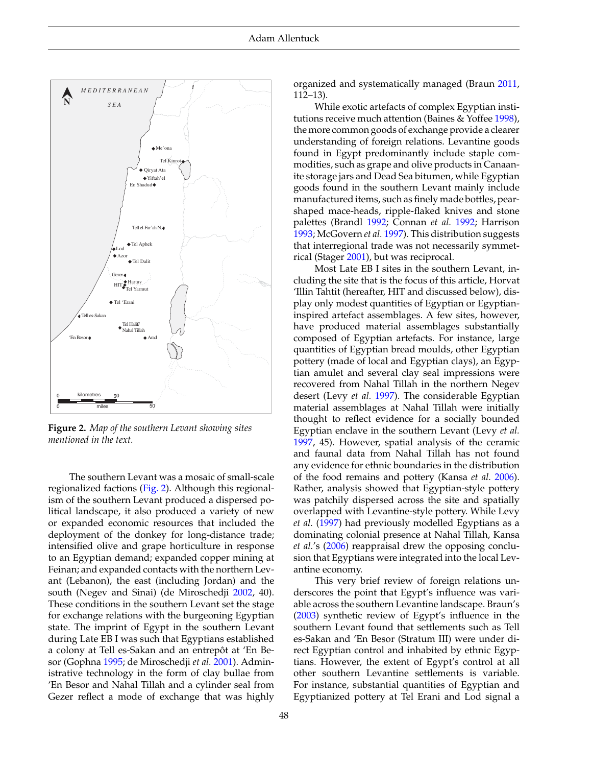

**Figure 2.** *Map of the southern Levant showing sites mentioned in the text.*

The southern Levant was a mosaic of small-scale regionalized factions (Fig. 2). Although this regionalism of the southern Levant produced a dispersed political landscape, it also produced a variety of new or expanded economic resources that included the deployment of the donkey for long-distance trade; intensified olive and grape horticulture in response to an Egyptian demand; expanded copper mining at Feinan; and expanded contacts with the northern Levant (Lebanon), the east (including Jordan) and the south (Negev and Sinai) (de Miroschedji [2002,](#page-17-0) 40). These conditions in the southern Levant set the stage for exchange relations with the burgeoning Egyptian state. The imprint of Egypt in the southern Levant during Late EB I was such that Egyptians established a colony at Tell es-Sakan and an entrepôt at 'En Besor (Gophna [1995;](#page-16-0) de Miroschedji *et al.* [2001\)](#page-17-0). Administrative technology in the form of clay bullae from 'En Besor and Nahal Tillah and a cylinder seal from Gezer reflect a mode of exchange that was highly organized and systematically managed (Braun [2011,](#page-15-0) 112–13).

While exotic artefacts of complex Egyptian institutions receive much attention (Baines & Yoffee [1998\)](#page-15-0), the more common goods of exchange provide a clearer understanding of foreign relations. Levantine goods found in Egypt predominantly include staple commodities, such as grape and olive products in Canaanite storage jars and Dead Sea bitumen, while Egyptian goods found in the southern Levant mainly include manufactured items, such as finely made bottles, pearshaped mace-heads, ripple-flaked knives and stone palettes (Brandl [1992;](#page-15-0) Connan *et al.* [1992;](#page-16-0) Harrison [1993;](#page-16-0) McGovern *et al.* [1997\)](#page-17-0). This distribution suggests that interregional trade was not necessarily symmetrical (Stager [2001\)](#page-17-0), but was reciprocal.

Most Late EB I sites in the southern Levant, including the site that is the focus of this article, Horvat 'Illin Tahtit (hereafter, HIT and discussed below), display only modest quantities of Egyptian or Egyptianinspired artefact assemblages. A few sites, however, have produced material assemblages substantially composed of Egyptian artefacts. For instance, large quantities of Egyptian bread moulds, other Egyptian pottery (made of local and Egyptian clays), an Egyptian amulet and several clay seal impressions were recovered from Nahal Tillah in the northern Negev desert (Levy *et al.* [1997\)](#page-17-0). The considerable Egyptian material assemblages at Nahal Tillah were initially thought to reflect evidence for a socially bounded Egyptian enclave in the southern Levant (Levy *et al.* [1997,](#page-17-0) 45). However, spatial analysis of the ceramic and faunal data from Nahal Tillah has not found any evidence for ethnic boundaries in the distribution of the food remains and pottery (Kansa *et al.* [2006\)](#page-16-0). Rather, analysis showed that Egyptian-style pottery was patchily dispersed across the site and spatially overlapped with Levantine-style pottery. While Levy *et al.* [\(1997\)](#page-17-0) had previously modelled Egyptians as a dominating colonial presence at Nahal Tillah, Kansa *et al.*'s [\(2006\)](#page-16-0) reappraisal drew the opposing conclusion that Egyptians were integrated into the local Levantine economy.

This very brief review of foreign relations underscores the point that Egypt's influence was variable across the southern Levantine landscape. Braun's [\(2003\)](#page-15-0) synthetic review of Egypt's influence in the southern Levant found that settlements such as Tell es-Sakan and 'En Besor (Stratum III) were under direct Egyptian control and inhabited by ethnic Egyptians. However, the extent of Egypt's control at all other southern Levantine settlements is variable. For instance, substantial quantities of Egyptian and Egyptianized pottery at Tel Erani and Lod signal a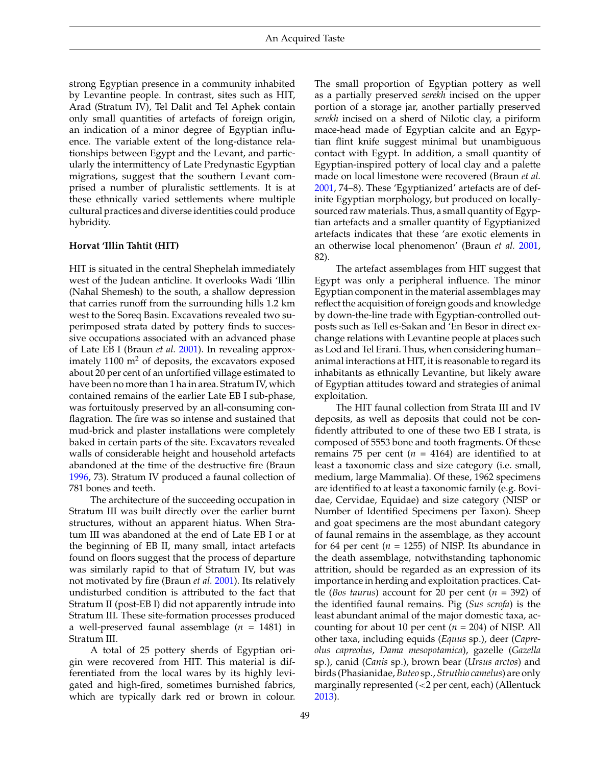strong Egyptian presence in a community inhabited by Levantine people. In contrast, sites such as HIT, Arad (Stratum IV), Tel Dalit and Tel Aphek contain only small quantities of artefacts of foreign origin, an indication of a minor degree of Egyptian influence. The variable extent of the long-distance relationships between Egypt and the Levant, and particularly the intermittency of Late Predynastic Egyptian migrations, suggest that the southern Levant comprised a number of pluralistic settlements. It is at these ethnically varied settlements where multiple cultural practices and diverse identities could produce hybridity.

#### **Horvat 'Illin Tahtit (HIT)**

HIT is situated in the central Shephelah immediately west of the Judean anticline. It overlooks Wadi 'Illin (Nahal Shemesh) to the south, a shallow depression that carries runoff from the surrounding hills 1.2 km west to the Soreq Basin. Excavations revealed two superimposed strata dated by pottery finds to successive occupations associated with an advanced phase of Late EB I (Braun *et al.* [2001\)](#page-16-0). In revealing approximately  $1100 \text{ m}^2$  of deposits, the excavators exposed about 20 per cent of an unfortified village estimated to have been no more than 1 ha in area. Stratum IV, which contained remains of the earlier Late EB I sub-phase, was fortuitously preserved by an all-consuming conflagration. The fire was so intense and sustained that mud-brick and plaster installations were completely baked in certain parts of the site. Excavators revealed walls of considerable height and household artefacts abandoned at the time of the destructive fire (Braun [1996,](#page-15-0) 73). Stratum IV produced a faunal collection of 781 bones and teeth.

The architecture of the succeeding occupation in Stratum III was built directly over the earlier burnt structures, without an apparent hiatus. When Stratum III was abandoned at the end of Late EB I or at the beginning of EB II, many small, intact artefacts found on floors suggest that the process of departure was similarly rapid to that of Stratum IV, but was not motivated by fire (Braun *et al.* [2001\)](#page-16-0). Its relatively undisturbed condition is attributed to the fact that Stratum II (post-EB I) did not apparently intrude into Stratum III. These site-formation processes produced a well-preserved faunal assemblage (*n* = 1481) in Stratum III.

A total of 25 pottery sherds of Egyptian origin were recovered from HIT. This material is differentiated from the local wares by its highly levigated and high-fired, sometimes burnished fabrics, which are typically dark red or brown in colour. The small proportion of Egyptian pottery as well as a partially preserved *serekh* incised on the upper portion of a storage jar, another partially preserved *serekh* incised on a sherd of Nilotic clay, a piriform mace-head made of Egyptian calcite and an Egyptian flint knife suggest minimal but unambiguous contact with Egypt. In addition, a small quantity of Egyptian-inspired pottery of local clay and a palette made on local limestone were recovered (Braun *et al.* [2001,](#page-16-0) 74–8). These 'Egyptianized' artefacts are of definite Egyptian morphology, but produced on locallysourced raw materials. Thus, a small quantity of Egyptian artefacts and a smaller quantity of Egyptianized artefacts indicates that these 'are exotic elements in an otherwise local phenomenon' (Braun *et al.* [2001,](#page-16-0) 82).

The artefact assemblages from HIT suggest that Egypt was only a peripheral influence. The minor Egyptian component in the material assemblages may reflect the acquisition of foreign goods and knowledge by down-the-line trade with Egyptian-controlled outposts such as Tell es-Sakan and 'En Besor in direct exchange relations with Levantine people at places such as Lod and Tel Erani. Thus, when considering human– animal interactions at HIT, it is reasonable to regard its inhabitants as ethnically Levantine, but likely aware of Egyptian attitudes toward and strategies of animal exploitation.

The HIT faunal collection from Strata III and IV deposits, as well as deposits that could not be confidently attributed to one of these two EB I strata, is composed of 5553 bone and tooth fragments. Of these remains 75 per cent ( $n = 4164$ ) are identified to at least a taxonomic class and size category (i.e. small, medium, large Mammalia). Of these, 1962 specimens are identified to at least a taxonomic family (e.g. Bovidae, Cervidae, Equidae) and size category (NISP or Number of Identified Specimens per Taxon). Sheep and goat specimens are the most abundant category of faunal remains in the assemblage, as they account for 64 per cent ( $n = 1255$ ) of NISP. Its abundance in the death assemblage, notwithstanding taphonomic attrition, should be regarded as an expression of its importance in herding and exploitation practices. Cattle (*Bos taurus*) account for 20 per cent (*n* = 392) of the identified faunal remains. Pig (*Sus scrofa*) is the least abundant animal of the major domestic taxa, accounting for about 10 per cent ( $n = 204$ ) of NISP. All other taxa, including equids (*Equus* sp.), deer (*Capreolus capreolus*, *Dama mesopotamica*), gazelle (*Gazella* sp.), canid (*Canis* sp.), brown bear (*Ursus arctos*) and birds (Phasianidae, *Buteo* sp., *Struthio camelus*) are only marginally represented (<2 per cent, each) (Allentuck [2013\)](#page-15-0).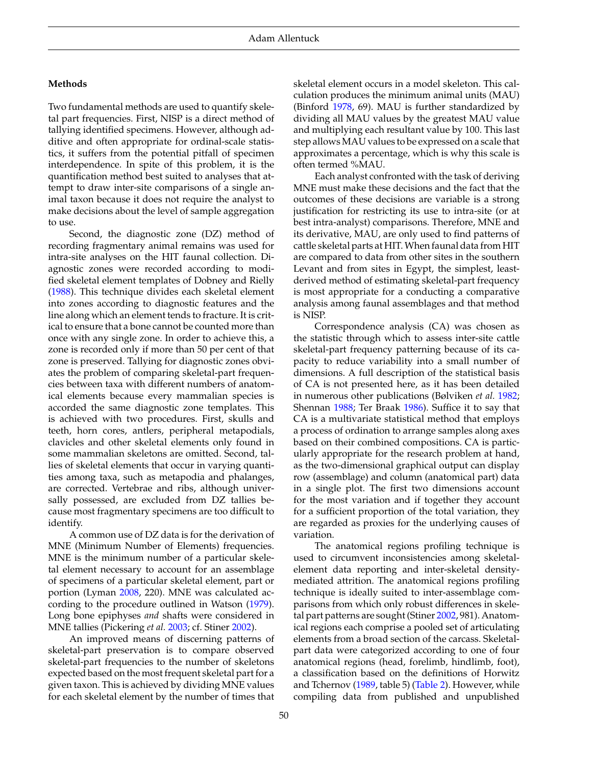#### **Methods**

Two fundamental methods are used to quantify skeletal part frequencies. First, NISP is a direct method of tallying identified specimens. However, although additive and often appropriate for ordinal-scale statistics, it suffers from the potential pitfall of specimen interdependence. In spite of this problem, it is the quantification method best suited to analyses that attempt to draw inter-site comparisons of a single animal taxon because it does not require the analyst to make decisions about the level of sample aggregation to use.

Second, the diagnostic zone (DZ) method of recording fragmentary animal remains was used for intra-site analyses on the HIT faunal collection. Diagnostic zones were recorded according to modified skeletal element templates of Dobney and Rielly [\(1988\)](#page-16-0). This technique divides each skeletal element into zones according to diagnostic features and the line along which an element tends to fracture. It is critical to ensure that a bone cannot be counted more than once with any single zone. In order to achieve this, a zone is recorded only if more than 50 per cent of that zone is preserved. Tallying for diagnostic zones obviates the problem of comparing skeletal-part frequencies between taxa with different numbers of anatomical elements because every mammalian species is accorded the same diagnostic zone templates. This is achieved with two procedures. First, skulls and teeth, horn cores, antlers, peripheral metapodials, clavicles and other skeletal elements only found in some mammalian skeletons are omitted. Second, tallies of skeletal elements that occur in varying quantities among taxa, such as metapodia and phalanges, are corrected. Vertebrae and ribs, although universally possessed, are excluded from DZ tallies because most fragmentary specimens are too difficult to identify.

A common use of DZ data is for the derivation of MNE (Minimum Number of Elements) frequencies. MNE is the minimum number of a particular skeletal element necessary to account for an assemblage of specimens of a particular skeletal element, part or portion (Lyman [2008,](#page-17-0) 220). MNE was calculated according to the procedure outlined in Watson [\(1979\)](#page-18-0). Long bone epiphyses *and* shafts were considered in MNE tallies (Pickering *et al.* [2003;](#page-17-0) cf. Stiner [2002\)](#page-17-0).

An improved means of discerning patterns of skeletal-part preservation is to compare observed skeletal-part frequencies to the number of skeletons expected based on the most frequent skeletal part for a given taxon. This is achieved by dividing MNE values for each skeletal element by the number of times that skeletal element occurs in a model skeleton. This calculation produces the minimum animal units (MAU) (Binford [1978,](#page-15-0) 69). MAU is further standardized by dividing all MAU values by the greatest MAU value and multiplying each resultant value by 100. This last step allows MAU values to be expressed on a scale that approximates a percentage, which is why this scale is often termed %MAU.

Each analyst confronted with the task of deriving MNE must make these decisions and the fact that the outcomes of these decisions are variable is a strong justification for restricting its use to intra-site (or at best intra-analyst) comparisons. Therefore, MNE and its derivative, MAU, are only used to find patterns of cattle skeletal parts at HIT.When faunal data from HIT are compared to data from other sites in the southern Levant and from sites in Egypt, the simplest, leastderived method of estimating skeletal-part frequency is most appropriate for a conducting a comparative analysis among faunal assemblages and that method is NISP.

Correspondence analysis (CA) was chosen as the statistic through which to assess inter-site cattle skeletal-part frequency patterning because of its capacity to reduce variability into a small number of dimensions. A full description of the statistical basis of CA is not presented here, as it has been detailed in numerous other publications (Bølviken *et al.* [1982;](#page-15-0) Shennan [1988;](#page-17-0) Ter Braak [1986\)](#page-17-0). Suffice it to say that CA is a multivariate statistical method that employs a process of ordination to arrange samples along axes based on their combined compositions. CA is particularly appropriate for the research problem at hand, as the two-dimensional graphical output can display row (assemblage) and column (anatomical part) data in a single plot. The first two dimensions account for the most variation and if together they account for a sufficient proportion of the total variation, they are regarded as proxies for the underlying causes of variation.

The anatomical regions profiling technique is used to circumvent inconsistencies among skeletalelement data reporting and inter-skeletal densitymediated attrition. The anatomical regions profiling technique is ideally suited to inter-assemblage comparisons from which only robust differences in skele-tal part patterns are sought (Stiner [2002,](#page-17-0) 981). Anatomical regions each comprise a pooled set of articulating elements from a broad section of the carcass. Skeletalpart data were categorized according to one of four anatomical regions (head, forelimb, hindlimb, foot), a classification based on the definitions of Horwitz and Tchernov [\(1989,](#page-16-0) table 5) [\(Table 2\)](#page-7-0). However, while compiling data from published and unpublished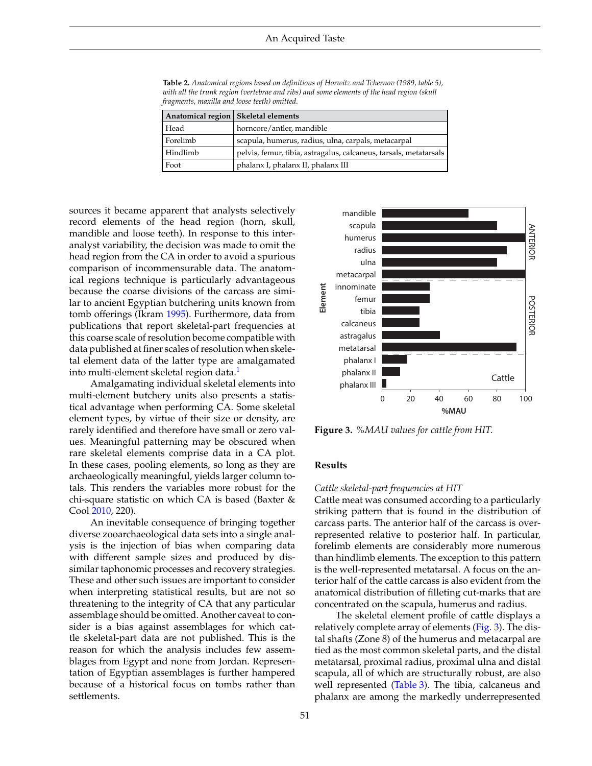**Anatomical region Skeletal elements** Head horncore/antler, mandible Forelimb scapula, humerus, radius, ulna, carpals, metacarpal Hindlimb pelvis, femur, tibia, astragalus, calcaneus, tarsals, metatarsals Foot phalanx I, phalanx II, phalanx III

<span id="page-7-0"></span>**Table 2.** *Anatomical regions based on definitions of Horwitz and Tchernov (1989, table 5), with all the trunk region (vertebrae and ribs) and some elements of the head region (skull fragments, maxilla and loose teeth) omitted.*

sources it became apparent that analysts selectively record elements of the head region (horn, skull, mandible and loose teeth). In response to this interanalyst variability, the decision was made to omit the head region from the CA in order to avoid a spurious comparison of incommensurable data. The anatomical regions technique is particularly advantageous because the coarse divisions of the carcass are similar to ancient Egyptian butchering units known from tomb offerings (Ikram [1995\)](#page-16-0). Furthermore, data from publications that report skeletal-part frequencies at this coarse scale of resolution become compatible with data published at finer scales of resolution when skeletal element data of the latter type are amalgamated into multi-element skeletal region data[.](#page-15-0)<sup>1</sup>

Amalgamating individual skeletal elements into multi-element butchery units also presents a statistical advantage when performing CA. Some skeletal element types, by virtue of their size or density, are rarely identified and therefore have small or zero values. Meaningful patterning may be obscured when rare skeletal elements comprise data in a CA plot. In these cases, pooling elements, so long as they are archaeologically meaningful, yields larger column totals. This renders the variables more robust for the chi-square statistic on which CA is based (Baxter & Cool [2010,](#page-15-0) 220).

An inevitable consequence of bringing together diverse zooarchaeological data sets into a single analysis is the injection of bias when comparing data with different sample sizes and produced by dissimilar taphonomic processes and recovery strategies. These and other such issues are important to consider when interpreting statistical results, but are not so threatening to the integrity of CA that any particular assemblage should be omitted. Another caveat to consider is a bias against assemblages for which cattle skeletal-part data are not published. This is the reason for which the analysis includes few assemblages from Egypt and none from Jordan. Representation of Egyptian assemblages is further hampered because of a historical focus on tombs rather than settlements.



**Figure 3.** *%MAU values for cattle from HIT.*

## **Results**

#### *Cattle skeletal-part frequencies at HIT*

Cattle meat was consumed according to a particularly striking pattern that is found in the distribution of carcass parts. The anterior half of the carcass is overrepresented relative to posterior half. In particular, forelimb elements are considerably more numerous than hindlimb elements. The exception to this pattern is the well-represented metatarsal. A focus on the anterior half of the cattle carcass is also evident from the anatomical distribution of filleting cut-marks that are concentrated on the scapula, humerus and radius.

The skeletal element profile of cattle displays a relatively complete array of elements (Fig. 3). The distal shafts (Zone 8) of the humerus and metacarpal are tied as the most common skeletal parts, and the distal metatarsal, proximal radius, proximal ulna and distal scapula, all of which are structurally robust, are also well represented [\(Table 3\)](#page-8-0). The tibia, calcaneus and phalanx are among the markedly underrepresented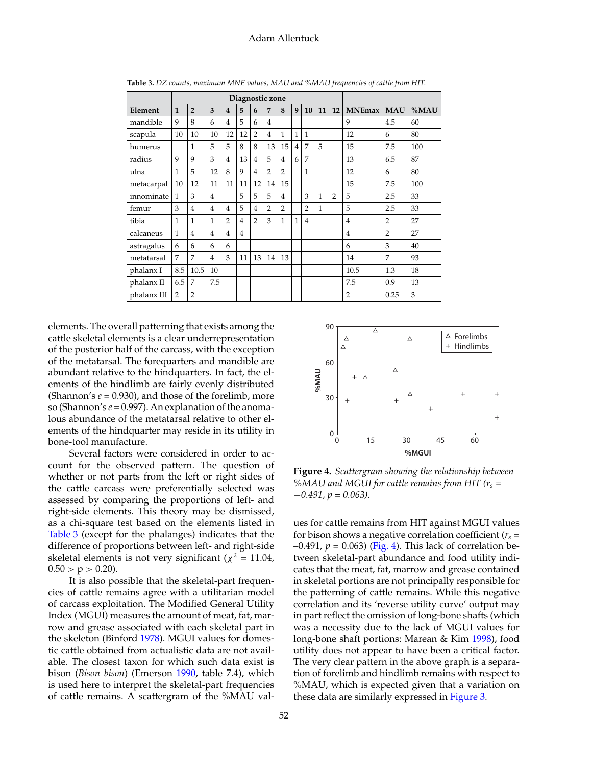|             | Diagnostic zone |                |                |                |                |                |                |                |                |                |              |                |                |                |      |
|-------------|-----------------|----------------|----------------|----------------|----------------|----------------|----------------|----------------|----------------|----------------|--------------|----------------|----------------|----------------|------|
| Element     | $\mathbf{1}$    | $\overline{2}$ | 3              | $\overline{4}$ | 5              | 6              | 7              | 8              | 9              | 10             | 11           | 12             | <b>MNEmax</b>  | <b>MAU</b>     | %MAU |
| mandible    | 9               | 8              | 6              | $\overline{4}$ | 5              | 6              | 4              |                |                |                |              |                | 9              | 4.5            | 60   |
| scapula     | 10              | 10             | 10             | 12             | 12             | $\overline{2}$ | $\overline{4}$ | 1              | 1              | 1              |              |                | 12             | 6              | 80   |
| humerus     |                 | 1              | 5              | 5              | 8              | 8              | 13             | 15             | $\overline{4}$ | 7              | 5            |                | 15             | 7.5            | 100  |
| radius      | 9               | 9              | 3              | $\overline{4}$ | 13             | $\overline{4}$ | 5              | $\overline{4}$ | 6              | 7              |              |                | 13             | 6.5            | 87   |
| ulna        | 1               | 5              | 12             | 8              | 9              | $\overline{4}$ | $\overline{2}$ | $\overline{2}$ |                | 1              |              |                | 12             | 6              | 80   |
| metacarpal  | 10              | 12             | 11             | 11             | 11             | 12             | 14             | 15             |                |                |              |                | 15             | 7.5            | 100  |
| innominate  | 1               | 3              | $\overline{4}$ |                | 5              | 5              | 5              | $\overline{4}$ |                | 3              | $\mathbf{1}$ | $\overline{2}$ | 5              | 2.5            | 33   |
| femur       | 3               | 4              | $\overline{4}$ | $\overline{4}$ | 5              | $\overline{4}$ | $\overline{2}$ | $\overline{2}$ |                | $\overline{2}$ | $\mathbf{1}$ |                | 5              | 2.5            | 33   |
| tibia       | 1               | 1              | 1              | $\overline{2}$ | $\overline{4}$ | $\overline{2}$ | 3              | 1              | 1              | $\overline{4}$ |              |                | 4              | $\overline{2}$ | 27   |
| calcaneus   | 1               | 4              | $\overline{4}$ | $\overline{4}$ | $\overline{4}$ |                |                |                |                |                |              |                | 4              | $\overline{2}$ | 27   |
| astragalus  | 6               | 6              | 6              | 6              |                |                |                |                |                |                |              |                | 6              | 3              | 40   |
| metatarsal  | 7               | 7              | $\overline{4}$ | 3              | 11             | 13             | 14             | 13             |                |                |              |                | 14             | 7              | 93   |
| phalanx I   | 8.5             | 10.5           | 10             |                |                |                |                |                |                |                |              |                | 10.5           | 1.3            | 18   |
| phalanx II  | 6.5             | 7              | 7.5            |                |                |                |                |                |                |                |              |                | 7.5            | 0.9            | 13   |
| phalanx III | $\overline{2}$  | $\overline{2}$ |                |                |                |                |                |                |                |                |              |                | $\overline{2}$ | 0.25           | 3    |

<span id="page-8-0"></span>**Table 3.** *DZ counts, maximum MNE values, MAU and %MAU frequencies of cattle from HIT.*

elements. The overall patterning that exists among the cattle skeletal elements is a clear underrepresentation of the posterior half of the carcass, with the exception of the metatarsal. The forequarters and mandible are abundant relative to the hindquarters. In fact, the elements of the hindlimb are fairly evenly distributed (Shannon's *e* = 0.930), and those of the forelimb, more so (Shannon's *e* = 0.997). An explanation of the anomalous abundance of the metatarsal relative to other elements of the hindquarter may reside in its utility in bone-tool manufacture.

Several factors were considered in order to account for the observed pattern. The question of whether or not parts from the left or right sides of the cattle carcass were preferentially selected was assessed by comparing the proportions of left- and right-side elements. This theory may be dismissed, as a chi-square test based on the elements listed in Table 3 (except for the phalanges) indicates that the difference of proportions between left- and right-side skeletal elements is not very significant ( $\chi^2$  = 11.04,  $0.50 > p > 0.20$ .

It is also possible that the skeletal-part frequencies of cattle remains agree with a utilitarian model of carcass exploitation. The Modified General Utility Index (MGUI) measures the amount of meat, fat, marrow and grease associated with each skeletal part in the skeleton (Binford [1978\)](#page-15-0). MGUI values for domestic cattle obtained from actualistic data are not available. The closest taxon for which such data exist is bison (*Bison bison*) (Emerson [1990,](#page-16-0) table 7.4), which is used here to interpret the skeletal-part frequencies of cattle remains. A scattergram of the %MAU val-



**Figure 4.** *Scattergram showing the relationship between %MAU and MGUI for cattle remains from HIT (rs =* −*0.491, p = 0.063).*

ues for cattle remains from HIT against MGUI values for bison shows a negative correlation coefficient  $(r<sub>s</sub> =$  $-0.491$ ,  $p = 0.063$ ) (Fig. 4). This lack of correlation between skeletal-part abundance and food utility indicates that the meat, fat, marrow and grease contained in skeletal portions are not principally responsible for the patterning of cattle remains. While this negative correlation and its 'reverse utility curve' output may in part reflect the omission of long-bone shafts (which was a necessity due to the lack of MGUI values for long-bone shaft portions: Marean & Kim [1998\)](#page-17-0), food utility does not appear to have been a critical factor. The very clear pattern in the above graph is a separation of forelimb and hindlimb remains with respect to %MAU, which is expected given that a variation on these data are similarly expressed in [Figure 3.](#page-7-0)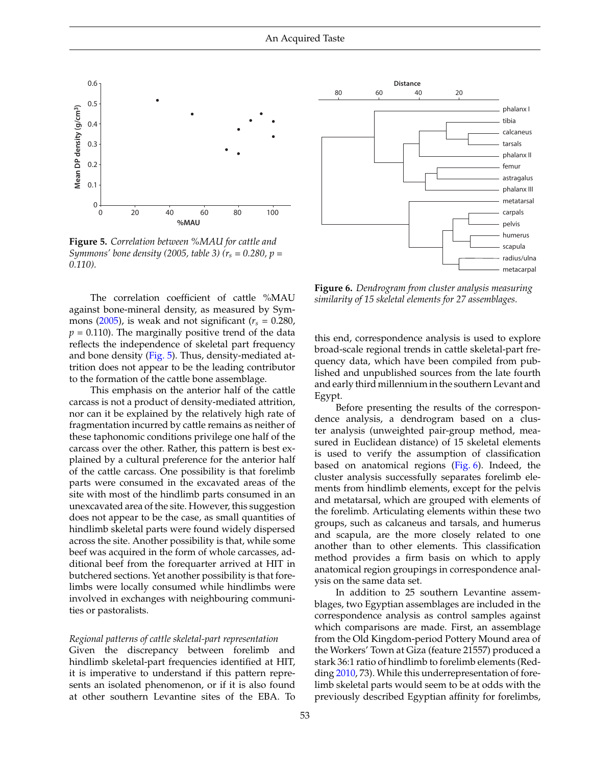

**Figure 5.** *Correlation between %MAU for cattle and Symmons' bone density (2005, table 3) (* $r_s = 0.280$ *, p = 0.110).*

The correlation coefficient of cattle %MAU against bone-mineral density, as measured by Symmons  $(2005)$ , is weak and not significant  $(r_s = 0.280)$ ,  $p = 0.110$ ). The marginally positive trend of the data reflects the independence of skeletal part frequency and bone density ( $Fig. 5$ ). Thus, density-mediated attrition does not appear to be the leading contributor to the formation of the cattle bone assemblage.

This emphasis on the anterior half of the cattle carcass is not a product of density-mediated attrition, nor can it be explained by the relatively high rate of fragmentation incurred by cattle remains as neither of these taphonomic conditions privilege one half of the carcass over the other. Rather, this pattern is best explained by a cultural preference for the anterior half of the cattle carcass. One possibility is that forelimb parts were consumed in the excavated areas of the site with most of the hindlimb parts consumed in an unexcavated area of the site. However, this suggestion does not appear to be the case, as small quantities of hindlimb skeletal parts were found widely dispersed across the site. Another possibility is that, while some beef was acquired in the form of whole carcasses, additional beef from the forequarter arrived at HIT in butchered sections. Yet another possibility is that forelimbs were locally consumed while hindlimbs were involved in exchanges with neighbouring communities or pastoralists.

#### *Regional patterns of cattle skeletal-part representation*

Given the discrepancy between forelimb and hindlimb skeletal-part frequencies identified at HIT, it is imperative to understand if this pattern represents an isolated phenomenon, or if it is also found at other southern Levantine sites of the EBA. To



**Figure 6.** *Dendrogram from cluster analysis measuring similarity of 15 skeletal elements for 27 assemblages.*

this end, correspondence analysis is used to explore broad-scale regional trends in cattle skeletal-part frequency data, which have been compiled from published and unpublished sources from the late fourth and early third millennium in the southern Levant and Egypt.

Before presenting the results of the correspondence analysis, a dendrogram based on a cluster analysis (unweighted pair-group method, measured in Euclidean distance) of 15 skeletal elements is used to verify the assumption of classification based on anatomical regions (Fig. 6). Indeed, the cluster analysis successfully separates forelimb elements from hindlimb elements, except for the pelvis and metatarsal, which are grouped with elements of the forelimb. Articulating elements within these two groups, such as calcaneus and tarsals, and humerus and scapula, are the more closely related to one another than to other elements. This classification method provides a firm basis on which to apply anatomical region groupings in correspondence analysis on the same data set.

In addition to 25 southern Levantine assemblages, two Egyptian assemblages are included in the correspondence analysis as control samples against which comparisons are made. First, an assemblage from the Old Kingdom-period Pottery Mound area of the Workers' Town at Giza (feature 21557) produced a stark 36:1 ratio of hindlimb to forelimb elements (Redding [2010,](#page-17-0) 73). While this underrepresentation of forelimb skeletal parts would seem to be at odds with the previously described Egyptian affinity for forelimbs,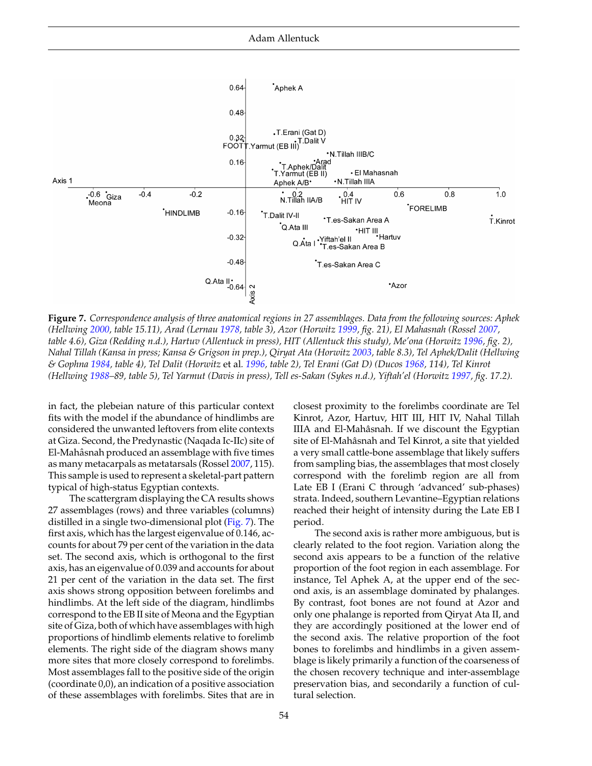

**Figure 7.** *Correspondence analysis of three anatomical regions in 27 assemblages. Data from the following sources: Aphek (Hellwing [2000,](#page-16-0) table 15.11), Arad (Lernau [1978,](#page-17-0) table 3), Azor (Horwitz [1999,](#page-16-0) fig. 21), El Mahasnah (Rossel [2007,](#page-17-0) table 4.6), Giza (Redding n.d.), Hartuv (Allentuck in press), HIT (Allentuck this study), Me'ona (Horwitz [1996,](#page-16-0) fig. 2), Nahal Tillah (Kansa in press; Kansa & Grigson in prep.), Qiryat Ata (Horwitz [2003,](#page-16-0) table 8.3), Tel Aphek/Dalit (Hellwing & Gophna [1984,](#page-16-0) table 4), Tel Dalit (Horwitz* et al*. [1996,](#page-16-0) table 2), Tel Erani (Gat D) (Ducos [1968,](#page-16-0) 114), Tel Kinrot (Hellwing [1988–](#page-16-0)89, table 5), Tel Yarmut (Davis in press), Tell es-Sakan (Sykes n.d.), Yiftah'el (Horwitz [1997,](#page-16-0) fig. 17.2).*

in fact, the plebeian nature of this particular context fits with the model if the abundance of hindlimbs are considered the unwanted leftovers from elite contexts at Giza. Second, the Predynastic (Naqada Ic-IIc) site of El-Mahâsnah produced an assemblage with five times as many metacarpals as metatarsals (Rossel [2007,](#page-17-0) 115). This sample is used to represent a skeletal-part pattern typical of high-status Egyptian contexts.

The scattergram displaying the CA results shows 27 assemblages (rows) and three variables (columns) distilled in a single two-dimensional plot (Fig. 7). The first axis, which has the largest eigenvalue of 0.146, accounts for about 79 per cent of the variation in the data set. The second axis, which is orthogonal to the first axis, has an eigenvalue of 0.039 and accounts for about 21 per cent of the variation in the data set. The first axis shows strong opposition between forelimbs and hindlimbs. At the left side of the diagram, hindlimbs correspond to the EB II site of Meona and the Egyptian site of Giza, both of which have assemblages with high proportions of hindlimb elements relative to forelimb elements. The right side of the diagram shows many more sites that more closely correspond to forelimbs. Most assemblages fall to the positive side of the origin (coordinate 0,0), an indication of a positive association of these assemblages with forelimbs. Sites that are in

closest proximity to the forelimbs coordinate are Tel Kinrot, Azor, Hartuv, HIT III, HIT IV, Nahal Tillah IIIA and El-Mahâsnah. If we discount the Egyptian site of El-Mahâsnah and Tel Kinrot, a site that yielded a very small cattle-bone assemblage that likely suffers from sampling bias, the assemblages that most closely correspond with the forelimb region are all from Late EB I (Erani C through 'advanced' sub-phases) strata. Indeed, southern Levantine–Egyptian relations reached their height of intensity during the Late EB I period.

The second axis is rather more ambiguous, but is clearly related to the foot region. Variation along the second axis appears to be a function of the relative proportion of the foot region in each assemblage. For instance, Tel Aphek A, at the upper end of the second axis, is an assemblage dominated by phalanges. By contrast, foot bones are not found at Azor and only one phalange is reported from Qiryat Ata II, and they are accordingly positioned at the lower end of the second axis. The relative proportion of the foot bones to forelimbs and hindlimbs in a given assemblage is likely primarily a function of the coarseness of the chosen recovery technique and inter-assemblage preservation bias, and secondarily a function of cultural selection.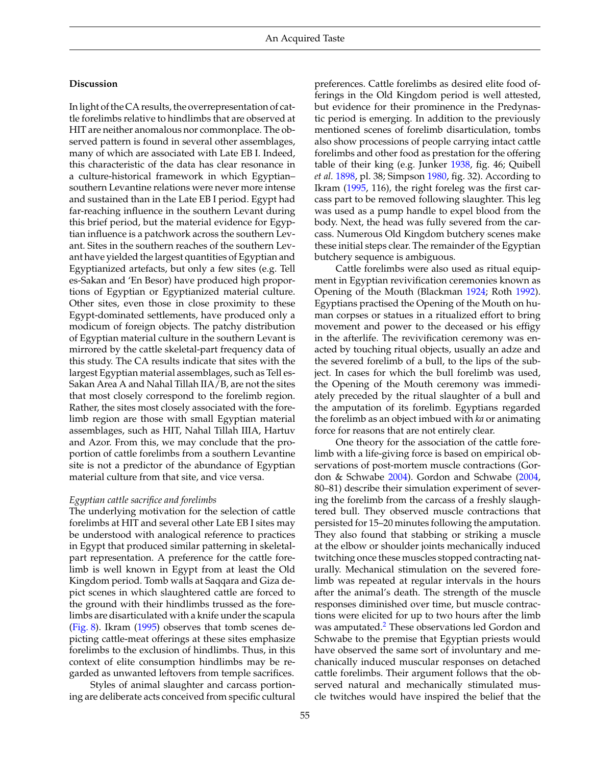#### **Discussion**

In light of the CA results, the overrepresentation of cattle forelimbs relative to hindlimbs that are observed at HIT are neither anomalous nor commonplace. The observed pattern is found in several other assemblages, many of which are associated with Late EB I. Indeed, this characteristic of the data has clear resonance in a culture-historical framework in which Egyptian– southern Levantine relations were never more intense and sustained than in the Late EB I period. Egypt had far-reaching influence in the southern Levant during this brief period, but the material evidence for Egyptian influence is a patchwork across the southern Levant. Sites in the southern reaches of the southern Levant have yielded the largest quantities of Egyptian and Egyptianized artefacts, but only a few sites (e.g. Tell es-Sakan and 'En Besor) have produced high proportions of Egyptian or Egyptianized material culture. Other sites, even those in close proximity to these Egypt-dominated settlements, have produced only a modicum of foreign objects. The patchy distribution of Egyptian material culture in the southern Levant is mirrored by the cattle skeletal-part frequency data of this study. The CA results indicate that sites with the largest Egyptian material assemblages, such as Tell es-Sakan Area A and Nahal Tillah IIA/B, are not the sites that most closely correspond to the forelimb region. Rather, the sites most closely associated with the forelimb region are those with small Egyptian material assemblages, such as HIT, Nahal Tillah IIIA, Hartuv and Azor. From this, we may conclude that the proportion of cattle forelimbs from a southern Levantine site is not a predictor of the abundance of Egyptian material culture from that site, and vice versa.

#### *Egyptian cattle sacrifice and forelimbs*

The underlying motivation for the selection of cattle forelimbs at HIT and several other Late EB I sites may be understood with analogical reference to practices in Egypt that produced similar patterning in skeletalpart representation. A preference for the cattle forelimb is well known in Egypt from at least the Old Kingdom period. Tomb walls at Saqqara and Giza depict scenes in which slaughtered cattle are forced to the ground with their hindlimbs trussed as the forelimbs are disarticulated with a knife under the scapula [\(Fig. 8\)](#page-12-0). Ikram [\(1995\)](#page-16-0) observes that tomb scenes depicting cattle-meat offerings at these sites emphasize forelimbs to the exclusion of hindlimbs. Thus, in this context of elite consumption hindlimbs may be regarded as unwanted leftovers from temple sacrifices.

Styles of animal slaughter and carcass portioning are deliberate acts conceived from specific cultural preferences. Cattle forelimbs as desired elite food offerings in the Old Kingdom period is well attested, but evidence for their prominence in the Predynastic period is emerging. In addition to the previously mentioned scenes of forelimb disarticulation, tombs also show processions of people carrying intact cattle forelimbs and other food as prestation for the offering table of their king (e.g. Junker [1938,](#page-16-0) fig. 46; Quibell *et al.* [1898,](#page-17-0) pl. 38; Simpson [1980,](#page-17-0) fig. 32). According to Ikram [\(1995,](#page-16-0) 116), the right foreleg was the first carcass part to be removed following slaughter. This leg was used as a pump handle to expel blood from the body. Next, the head was fully severed from the carcass. Numerous Old Kingdom butchery scenes make these initial steps clear. The remainder of the Egyptian butchery sequence is ambiguous.

Cattle forelimbs were also used as ritual equipment in Egyptian revivification ceremonies known as Opening of the Mouth (Blackman [1924;](#page-15-0) Roth [1992\)](#page-17-0). Egyptians practised the Opening of the Mouth on human corpses or statues in a ritualized effort to bring movement and power to the deceased or his effigy in the afterlife. The revivification ceremony was enacted by touching ritual objects, usually an adze and the severed forelimb of a bull, to the lips of the subject. In cases for which the bull forelimb was used, the Opening of the Mouth ceremony was immediately preceded by the ritual slaughter of a bull and the amputation of its forelimb. Egyptians regarded the forelimb as an object imbued with *ka* or animating force for reasons that are not entirely clear.

One theory for the association of the cattle forelimb with a life-giving force is based on empirical observations of post-mortem muscle contractions (Gordon & Schwabe [2004\)](#page-16-0). Gordon and Schwabe [\(2004,](#page-16-0) 80–81) describe their simulation experiment of severing the forelimb from the carcass of a freshly slaughtered bull. They observed muscle contractions that persisted for 15–20 minutes following the amputation. They also found that stabbing or striking a muscle at the elbow or shoulder joints mechanically induced twitching once these muscles stopped contracting naturally. Mechanical stimulation on the severed forelimb was repeated at regular intervals in the hours after the animal's death. The strength of the muscle responses diminished over time, but muscle contractions were elicited for up to two hours after the limb was amputated[.](#page-15-0)<sup>2</sup> These observations led Gordon and Schwabe to the premise that Egyptian priests would have observed the same sort of involuntary and mechanically induced muscular responses on detached cattle forelimbs. Their argument follows that the observed natural and mechanically stimulated muscle twitches would have inspired the belief that the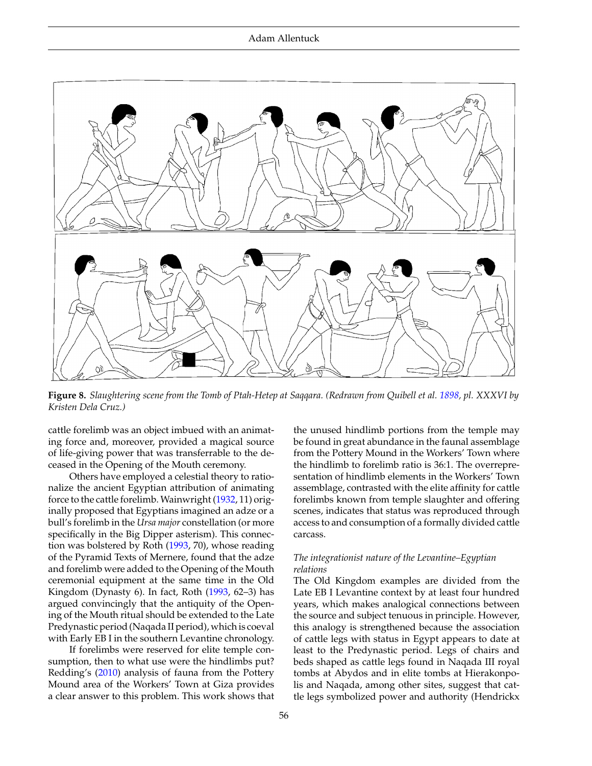<span id="page-12-0"></span>

**Figure 8.** *Slaughtering scene from the Tomb of Ptah-Hetep at Saqqara. (Redrawn from Quibell et al. [1898,](#page-17-0) pl. XXXVI by Kristen Dela Cruz.)*

cattle forelimb was an object imbued with an animating force and, moreover, provided a magical source of life-giving power that was transferrable to the deceased in the Opening of the Mouth ceremony.

Others have employed a celestial theory to rationalize the ancient Egyptian attribution of animating force to the cattle forelimb. Wainwright [\(1932,](#page-18-0) 11) originally proposed that Egyptians imagined an adze or a bull's forelimb in the *Ursa major* constellation (or more specifically in the Big Dipper asterism). This connection was bolstered by Roth [\(1993,](#page-17-0) 70), whose reading of the Pyramid Texts of Mernere, found that the adze and forelimb were added to the Opening of the Mouth ceremonial equipment at the same time in the Old Kingdom (Dynasty 6). In fact, Roth [\(1993,](#page-17-0) 62–3) has argued convincingly that the antiquity of the Opening of the Mouth ritual should be extended to the Late Predynastic period (Naqada II period), which is coeval with Early EB I in the southern Levantine chronology.

If forelimbs were reserved for elite temple consumption, then to what use were the hindlimbs put? Redding's [\(2010\)](#page-17-0) analysis of fauna from the Pottery Mound area of the Workers' Town at Giza provides a clear answer to this problem. This work shows that the unused hindlimb portions from the temple may be found in great abundance in the faunal assemblage from the Pottery Mound in the Workers' Town where the hindlimb to forelimb ratio is 36:1. The overrepresentation of hindlimb elements in the Workers' Town assemblage, contrasted with the elite affinity for cattle forelimbs known from temple slaughter and offering scenes, indicates that status was reproduced through access to and consumption of a formally divided cattle carcass.

# *The integrationist nature of the Levantine–Egyptian relations*

The Old Kingdom examples are divided from the Late EB I Levantine context by at least four hundred years, which makes analogical connections between the source and subject tenuous in principle. However, this analogy is strengthened because the association of cattle legs with status in Egypt appears to date at least to the Predynastic period. Legs of chairs and beds shaped as cattle legs found in Naqada III royal tombs at Abydos and in elite tombs at Hierakonpolis and Naqada, among other sites, suggest that cattle legs symbolized power and authority (Hendrickx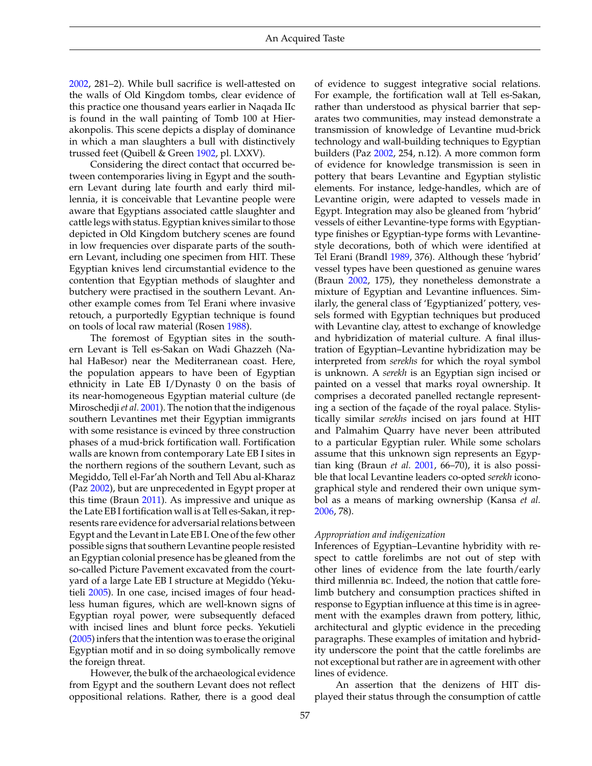[2002,](#page-16-0) 281–2). While bull sacrifice is well-attested on the walls of Old Kingdom tombs, clear evidence of this practice one thousand years earlier in Naqada IIc is found in the wall painting of Tomb 100 at Hierakonpolis. This scene depicts a display of dominance in which a man slaughters a bull with distinctively trussed feet (Quibell & Green [1902,](#page-17-0) pl. LXXV).

Considering the direct contact that occurred between contemporaries living in Egypt and the southern Levant during late fourth and early third millennia, it is conceivable that Levantine people were aware that Egyptians associated cattle slaughter and cattle legs with status. Egyptian knives similar to those depicted in Old Kingdom butchery scenes are found in low frequencies over disparate parts of the southern Levant, including one specimen from HIT. These Egyptian knives lend circumstantial evidence to the contention that Egyptian methods of slaughter and butchery were practised in the southern Levant. Another example comes from Tel Erani where invasive retouch, a purportedly Egyptian technique is found on tools of local raw material (Rosen [1988\)](#page-17-0).

The foremost of Egyptian sites in the southern Levant is Tell es-Sakan on Wadi Ghazzeh (Nahal HaBesor) near the Mediterranean coast. Here, the population appears to have been of Egyptian ethnicity in Late EB I/Dynasty 0 on the basis of its near-homogeneous Egyptian material culture (de Miroschedji*et al.* [2001\)](#page-17-0). The notion that the indigenous southern Levantines met their Egyptian immigrants with some resistance is evinced by three construction phases of a mud-brick fortification wall. Fortification walls are known from contemporary Late EB I sites in the northern regions of the southern Levant, such as Megiddo, Tell el-Far'ah North and Tell Abu al-Kharaz (Paz [2002\)](#page-17-0), but are unprecedented in Egypt proper at this time (Braun [2011\)](#page-15-0). As impressive and unique as the Late EB I fortification wall is at Tell es-Sakan, it represents rare evidence for adversarial relations between Egypt and the Levant in Late EB I. One of the few other possible signs that southern Levantine people resisted an Egyptian colonial presence has be gleaned from the so-called Picture Pavement excavated from the courtyard of a large Late EB I structure at Megiddo (Yekutieli [2005\)](#page-18-0). In one case, incised images of four headless human figures, which are well-known signs of Egyptian royal power, were subsequently defaced with incised lines and blunt force pecks. Yekutieli [\(2005\)](#page-18-0) infers that the intention was to erase the original Egyptian motif and in so doing symbolically remove the foreign threat.

However, the bulk of the archaeological evidence from Egypt and the southern Levant does not reflect oppositional relations. Rather, there is a good deal of evidence to suggest integrative social relations. For example, the fortification wall at Tell es-Sakan, rather than understood as physical barrier that separates two communities, may instead demonstrate a transmission of knowledge of Levantine mud-brick technology and wall-building techniques to Egyptian builders (Paz [2002,](#page-17-0) 254, n.12). A more common form of evidence for knowledge transmission is seen in pottery that bears Levantine and Egyptian stylistic elements. For instance, ledge-handles, which are of Levantine origin, were adapted to vessels made in Egypt. Integration may also be gleaned from 'hybrid' vessels of either Levantine-type forms with Egyptiantype finishes or Egyptian-type forms with Levantinestyle decorations, both of which were identified at Tel Erani (Brandl [1989,](#page-15-0) 376). Although these 'hybrid' vessel types have been questioned as genuine wares (Braun [2002,](#page-15-0) 175), they nonetheless demonstrate a mixture of Egyptian and Levantine influences. Similarly, the general class of 'Egyptianized' pottery, vessels formed with Egyptian techniques but produced with Levantine clay, attest to exchange of knowledge and hybridization of material culture. A final illustration of Egyptian–Levantine hybridization may be interpreted from *serekhs* for which the royal symbol is unknown. A *serekh* is an Egyptian sign incised or painted on a vessel that marks royal ownership. It comprises a decorated panelled rectangle representing a section of the façade of the royal palace. Stylistically similar *serekhs* incised on jars found at HIT and Palmahim Quarry have never been attributed to a particular Egyptian ruler. While some scholars assume that this unknown sign represents an Egyptian king (Braun *et al.* [2001,](#page-16-0) 66–70), it is also possible that local Levantine leaders co-opted *serekh* iconographical style and rendered their own unique symbol as a means of marking ownership (Kansa *et al.* [2006,](#page-16-0) 78).

#### *Appropriation and indigenization*

Inferences of Egyptian–Levantine hybridity with respect to cattle forelimbs are not out of step with other lines of evidence from the late fourth/early third millennia bc. Indeed, the notion that cattle forelimb butchery and consumption practices shifted in response to Egyptian influence at this time is in agreement with the examples drawn from pottery, lithic, architectural and glyptic evidence in the preceding paragraphs. These examples of imitation and hybridity underscore the point that the cattle forelimbs are not exceptional but rather are in agreement with other lines of evidence.

An assertion that the denizens of HIT displayed their status through the consumption of cattle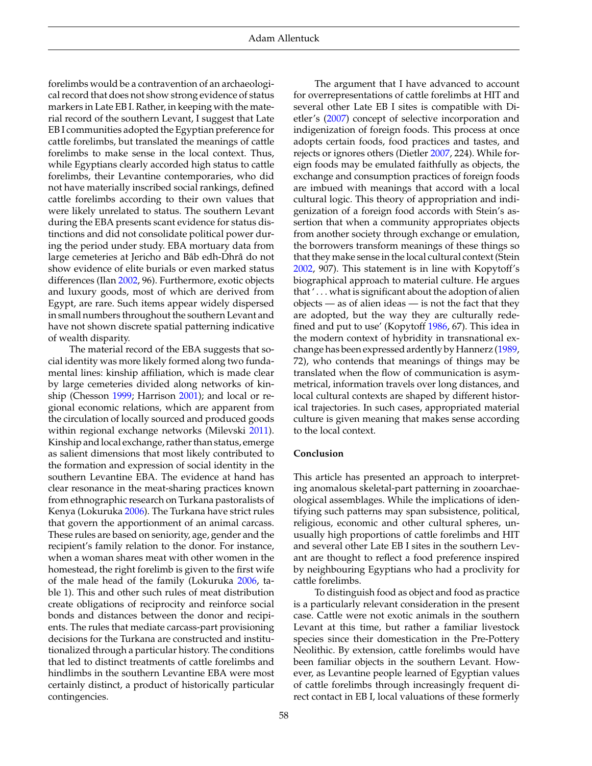forelimbs would be a contravention of an archaeological record that does not show strong evidence of status markers in Late EB I. Rather, in keeping with the material record of the southern Levant, I suggest that Late EB I communities adopted the Egyptian preference for cattle forelimbs, but translated the meanings of cattle forelimbs to make sense in the local context. Thus, while Egyptians clearly accorded high status to cattle forelimbs, their Levantine contemporaries, who did not have materially inscribed social rankings, defined cattle forelimbs according to their own values that were likely unrelated to status. The southern Levant during the EBA presents scant evidence for status distinctions and did not consolidate political power during the period under study. EBA mortuary data from large cemeteries at Jericho and Bâb edh-Dhrâ do not show evidence of elite burials or even marked status differences (Ilan [2002,](#page-16-0) 96). Furthermore, exotic objects and luxury goods, most of which are derived from Egypt, are rare. Such items appear widely dispersed in small numbers throughout the southern Levant and have not shown discrete spatial patterning indicative of wealth disparity.

The material record of the EBA suggests that social identity was more likely formed along two fundamental lines: kinship affiliation, which is made clear by large cemeteries divided along networks of kinship (Chesson [1999;](#page-16-0) Harrison [2001\)](#page-16-0); and local or regional economic relations, which are apparent from the circulation of locally sourced and produced goods within regional exchange networks (Milevski [2011\)](#page-17-0). Kinship and local exchange, rather than status, emerge as salient dimensions that most likely contributed to the formation and expression of social identity in the southern Levantine EBA. The evidence at hand has clear resonance in the meat-sharing practices known from ethnographic research on Turkana pastoralists of Kenya (Lokuruka [2006\)](#page-17-0). The Turkana have strict rules that govern the apportionment of an animal carcass. These rules are based on seniority, age, gender and the recipient's family relation to the donor. For instance, when a woman shares meat with other women in the homestead, the right forelimb is given to the first wife of the male head of the family (Lokuruka [2006,](#page-17-0) table 1). This and other such rules of meat distribution create obligations of reciprocity and reinforce social bonds and distances between the donor and recipients. The rules that mediate carcass-part provisioning decisions for the Turkana are constructed and institutionalized through a particular history. The conditions that led to distinct treatments of cattle forelimbs and hindlimbs in the southern Levantine EBA were most certainly distinct, a product of historically particular contingencies.

The argument that I have advanced to account for overrepresentations of cattle forelimbs at HIT and several other Late EB I sites is compatible with Dietler's [\(2007\)](#page-16-0) concept of selective incorporation and indigenization of foreign foods. This process at once adopts certain foods, food practices and tastes, and rejects or ignores others (Dietler [2007,](#page-16-0) 224). While foreign foods may be emulated faithfully as objects, the exchange and consumption practices of foreign foods are imbued with meanings that accord with a local cultural logic. This theory of appropriation and indigenization of a foreign food accords with Stein's assertion that when a community appropriates objects from another society through exchange or emulation, the borrowers transform meanings of these things so that they make sense in the local cultural context (Stein [2002,](#page-17-0) 907). This statement is in line with Kopytoff's biographical approach to material culture. He argues that ' . . . what is significant about the adoption of alien  $objects$  — as of alien ideas — is not the fact that they are adopted, but the way they are culturally redefined and put to use' (Kopytoff [1986,](#page-17-0) 67). This idea in the modern context of hybridity in transnational exchange has been expressed ardently by Hannerz [\(1989,](#page-16-0) 72), who contends that meanings of things may be translated when the flow of communication is asymmetrical, information travels over long distances, and local cultural contexts are shaped by different historical trajectories. In such cases, appropriated material culture is given meaning that makes sense according to the local context.

#### **Conclusion**

This article has presented an approach to interpreting anomalous skeletal-part patterning in zooarchaeological assemblages. While the implications of identifying such patterns may span subsistence, political, religious, economic and other cultural spheres, unusually high proportions of cattle forelimbs and HIT and several other Late EB I sites in the southern Levant are thought to reflect a food preference inspired by neighbouring Egyptians who had a proclivity for cattle forelimbs.

To distinguish food as object and food as practice is a particularly relevant consideration in the present case. Cattle were not exotic animals in the southern Levant at this time, but rather a familiar livestock species since their domestication in the Pre-Pottery Neolithic. By extension, cattle forelimbs would have been familiar objects in the southern Levant. However, as Levantine people learned of Egyptian values of cattle forelimbs through increasingly frequent direct contact in EB I, local valuations of these formerly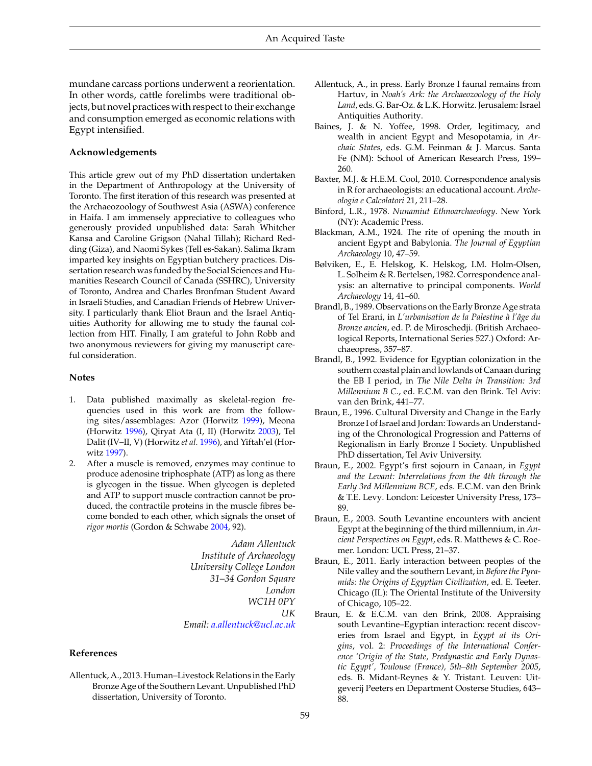<span id="page-15-0"></span>mundane carcass portions underwent a reorientation. In other words, cattle forelimbs were traditional objects, but novel practices with respect to their exchange and consumption emerged as economic relations with Egypt intensified.

#### **Acknowledgements**

This article grew out of my PhD dissertation undertaken in the Department of Anthropology at the University of Toronto. The first iteration of this research was presented at the Archaeozoology of Southwest Asia (ASWA) conference in Haifa. I am immensely appreciative to colleagues who generously provided unpublished data: Sarah Whitcher Kansa and Caroline Grigson (Nahal Tillah); Richard Redding (Giza), and Naomi Sykes (Tell es-Sakan). Salima Ikram imparted key insights on Egyptian butchery practices. Dissertation research was funded by the Social Sciences and Humanities Research Council of Canada (SSHRC), University of Toronto, Andrea and Charles Bronfman Student Award in Israeli Studies, and Canadian Friends of Hebrew University. I particularly thank Eliot Braun and the Israel Antiquities Authority for allowing me to study the faunal collection from HIT. Finally, I am grateful to John Robb and two anonymous reviewers for giving my manuscript careful consideration.

#### **Notes**

- 1. Data published maximally as skeletal-region frequencies used in this work are from the following sites/assemblages: Azor (Horwitz [1999\)](#page-16-0), Meona (Horwitz [1996\)](#page-16-0), Qiryat Ata (I, II) (Horwitz [2003\)](#page-16-0), Tel Dalit (IV–II, V) (Horwitz *et al.* [1996\)](#page-16-0), and Yiftah'el (Horwitz [1997\)](#page-16-0).
- 2. After a muscle is removed, enzymes may continue to produce adenosine triphosphate (ATP) as long as there is glycogen in the tissue. When glycogen is depleted and ATP to support muscle contraction cannot be produced, the contractile proteins in the muscle fibres become bonded to each other, which signals the onset of *rigor mortis* (Gordon & Schwabe [2004,](#page-16-0) 92).

*Adam Allentuck Institute of Archaeology University College London 31–34 Gordon Square London WC1H 0PY UK Email: [a.allentuck@ucl.ac.uk](mailto:a.allentuck@ucl.ac.uk)*

#### **References**

Allentuck, A., 2013. Human–Livestock Relations in the Early Bronze Age of the Southern Levant. Unpublished PhD dissertation, University of Toronto.

- Allentuck, A., in press. Early Bronze I faunal remains from Hartuv, in *Noah's Ark: the Archaeozoology of the Holy Land*, eds. G. Bar-Oz. & L.K. Horwitz. Jerusalem: Israel Antiquities Authority.
- Baines, J. & N. Yoffee, 1998. Order, legitimacy, and wealth in ancient Egypt and Mesopotamia, in *Archaic States*, eds. G.M. Feinman & J. Marcus. Santa Fe (NM): School of American Research Press, 199– 260.
- Baxter, M.J. & H.E.M. Cool, 2010. Correspondence analysis in R for archaeologists: an educational account. *Archeologia e Calcolatori* 21, 211–28.
- Binford, L.R., 1978. *Nunamiut Ethnoarchaeology*. New York (NY): Academic Press.
- Blackman, A.M., 1924. The rite of opening the mouth in ancient Egypt and Babylonia. *The Journal of Egyptian Archaeology* 10, 47–59.
- Bølviken, E., E. Helskog, K. Helskog, I.M. Holm-Olsen, L. Solheim & R. Bertelsen, 1982. Correspondence analysis: an alternative to principal components. *World Archaeology* 14, 41–60.
- Brandl, B., 1989. Observations on the Early Bronze Age strata of Tel Erani, in *L'urbanisation de la Palestine a l' ` age du ˆ Bronze ancien*, ed. P. de Miroschedji. (British Archaeological Reports, International Series 527.) Oxford: Archaeopress, 357–87.
- Brandl, B., 1992. Evidence for Egyptian colonization in the southern coastal plain and lowlands of Canaan during the EB I period, in *The Nile Delta in Transition: 3rd Millennium B C.*, ed. E.C.M. van den Brink. Tel Aviv: van den Brink, 441–77.
- Braun, E., 1996. Cultural Diversity and Change in the Early Bronze I of Israel and Jordan: Towards an Understanding of the Chronological Progression and Patterns of Regionalism in Early Bronze I Society. Unpublished PhD dissertation, Tel Aviv University.
- Braun, E., 2002. Egypt's first sojourn in Canaan, in *Egypt and the Levant: Interrelations from the 4th through the Early 3rd Millennium BCE*, eds. E.C.M. van den Brink & T.E. Levy. London: Leicester University Press, 173– 89.
- Braun, E., 2003. South Levantine encounters with ancient Egypt at the beginning of the third millennium, in *Ancient Perspectives on Egypt*, eds. R. Matthews & C. Roemer. London: UCL Press, 21–37.
- Braun, E., 2011. Early interaction between peoples of the Nile valley and the southern Levant, in *Before the Pyramids: the Origins of Egyptian Civilization*, ed. E. Teeter. Chicago (IL): The Oriental Institute of the University of Chicago, 105–22.
- Braun, E. & E.C.M. van den Brink, 2008. Appraising south Levantine–Egyptian interaction: recent discoveries from Israel and Egypt, in *Egypt at its Origins*, vol. 2: *Proceedings of the International Conference 'Origin of the State, Predynastic and Early Dynastic Egypt', Toulouse (France), 5th–8th September 2005*, eds. B. Midant-Reynes & Y. Tristant. Leuven: Uitgeverij Peeters en Department Oosterse Studies, 643– 88.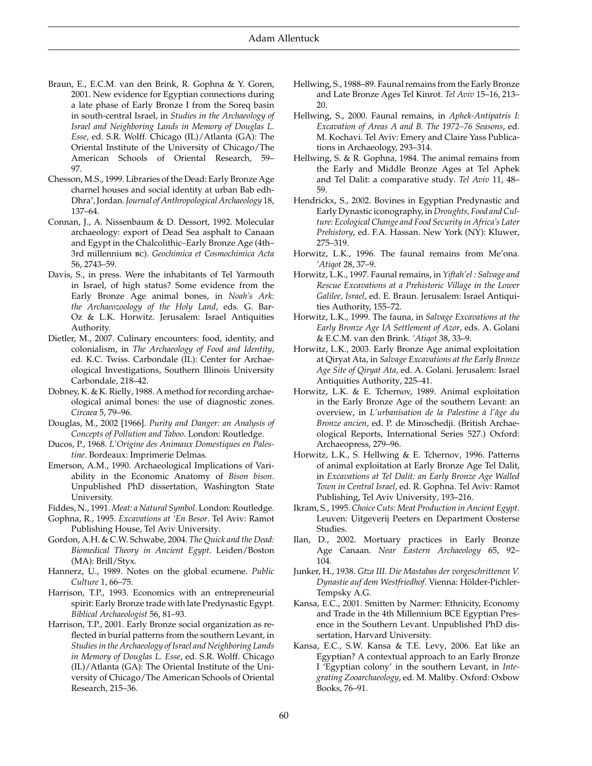- <span id="page-16-0"></span>Braun, E., E.C.M. van den Brink, R. Gophna & Y. Goren, 2001. New evidence for Egyptian connections during a late phase of Early Bronze I from the Soreq basin in south-central Israel, in *Studies in the Archaeology of Israel and Neighboring Lands in Memory of Douglas L. Esse*, ed. S.R. Wolff. Chicago (IL)/Atlanta (GA): The Oriental Institute of the University of Chicago/The American Schools of Oriental Research, 59– 97.
- Chesson, M.S., 1999. Libraries of the Dead: Early Bronze Age charnel houses and social identity at urban Bab edh-Dhra', Jordan.*Journal of Anthropological Archaeology* 18, 137–64.
- Connan, J., A. Nissenbaum & D. Dessort, 1992. Molecular archaeology: export of Dead Sea asphalt to Canaan and Egypt in the Chalcolithic–Early Bronze Age (4th– 3rd millennium bc). *Geochimica et Cosmochimica Acta* 56, 2743–59.
- Davis, S., in press. Were the inhabitants of Tel Yarmouth in Israel, of high status? Some evidence from the Early Bronze Age animal bones, in *Noah's Ark: the Archaeozoology of the Holy Land*, eds. G. Bar-Oz & L.K. Horwitz. Jerusalem: Israel Antiquities Authority.
- Dietler, M., 2007. Culinary encounters: food, identity, and colonialism, in *The Archaeology of Food and Identity*, ed. K.C. Twiss. Carbondale (IL): Center for Archaeological Investigations, Southern Illinois University Carbondale, 218–42.
- Dobney, K. & K. Rielly, 1988. A method for recording archaeological animal bones: the use of diagnostic zones. *Circaea* 5, 79–96.
- Douglas, M., 2002 [1966]. *Purity and Danger: an Analysis of Concepts of Pollution and Taboo*. London: Routledge.
- Ducos, P., 1968. *L'Origine des Animaux Domestiques en Palestine*. Bordeaux: Imprimerie Delmas.
- Emerson, A.M., 1990. Archaeological Implications of Variability in the Economic Anatomy of *Bison bison*. Unpublished PhD dissertation, Washington State University.
- Fiddes, N., 1991. *Meat: a Natural Symbol*. London: Routledge.
- Gophna, R., 1995. *Excavations at 'En Besor*. Tel Aviv: Ramot Publishing House, Tel Aviv University.
- Gordon, A.H. & C.W. Schwabe, 2004. *The Quick and the Dead: Biomedical Theory in Ancient Egypt*. Leiden/Boston (MA): Brill/Styx.
- Hannerz, U., 1989. Notes on the global ecumene. *Public Culture* 1, 66–75.
- Harrison, T.P., 1993. Economics with an entrepreneurial spirit: Early Bronze trade with late Predynastic Egypt. *Biblical Archaeologist* 56, 81–93.
- Harrison, T.P., 2001. Early Bronze social organization as reflected in burial patterns from the southern Levant, in *Studies in the Archaeology of Israel and Neighboring Lands in Memory of Douglas L. Esse*, ed. S.R. Wolff. Chicago (IL)/Atlanta (GA): The Oriental Institute of the University of Chicago/The American Schools of Oriental Research, 215–36.
- Hellwing, S., 1988–89. Faunal remains from the Early Bronze and Late Bronze Ages Tel Kinrot. *Tel Aviv* 15–16, 213– 20.
- Hellwing, S., 2000. Faunal remains, in *Aphek-Antipatris I: Excavation of Areas A and B. The 1972–76 Seasons*, ed. M. Kochavi. Tel Aviv: Emery and Claire Yass Publications in Archaeology, 293–314.
- Hellwing, S. & R. Gophna, 1984. The animal remains from the Early and Middle Bronze Ages at Tel Aphek and Tel Dalit: a comparative study. *Tel Aviv* 11, 48– 59.
- Hendrickx, S., 2002. Bovines in Egyptian Predynastic and Early Dynastic iconography, in *Droughts, Food and Culture: Ecological Change and Food Security in Africa's Later Prehistory*, ed. F.A. Hassan. New York (NY): Kluwer, 275–319.
- Horwitz, L.K., 1996. The faunal remains from Me'ona. *'Atiqot* 28, 37–9.
- Horwitz, L.K., 1997. Faunal remains, in *Yiftah'el : Salvage and Rescue Excavations at a Prehistoric Village in the Lower Galilee, Israel*, ed. E. Braun. Jerusalem: Israel Antiquities Authority, 155–72.
- Horwitz, L.K., 1999. The fauna, in *Salvage Excavations at the Early Bronze Age IA Settlement of Azor*, eds. A. Golani & E.C.M. van den Brink. *'Atiqot* 38, 33–9.
- Horwitz, L.K., 2003. Early Bronze Age animal exploitation at Qiryat Ata, in *Salvage Excavations at the Early Bronze Age Site of Qiryat Ata*, ed. A. Golani. Jerusalem: Israel Antiquities Authority, 225–41.
- Horwitz, L.K. & E. Tchernov, 1989. Animal exploitation in the Early Bronze Age of the southern Levant: an overview, in *L'urbanisation de la Palestine a l' ` age du ˆ Bronze ancien*, ed. P. de Miroschedji. (British Archaeological Reports, International Series 527.) Oxford: Archaeopress, 279–96.
- Horwitz, L.K., S. Hellwing & E. Tchernov, 1996. Patterns of animal exploitation at Early Bronze Age Tel Dalit, in *Excavations at Tel Dalit: an Early Bronze Age Walled Town in Central Israel*, ed. R. Gophna. Tel Aviv: Ramot Publishing, Tel Aviv University, 193–216.
- Ikram, S., 1995. *Choice Cuts: Meat Production in Ancient Egypt*. Leuven: Uitgeverij Peeters en Department Oosterse Studies.
- Ilan, D., 2002. Mortuary practices in Early Bronze Age Canaan. *Near Eastern Archaeology* 65, 92– 104.
- Junker, H., 1938. *Gˆıza III. Die Mastabas der vorgeschrittenen V. Dynastie auf dem Westfriedhof*. Vienna: Holder-Pichler- ¨ Tempsky A.G.
- Kansa, E.C., 2001. Smitten by Narmer: Ethnicity, Economy and Trade in the 4th Millennium BCE Egyptian Presence in the Southern Levant. Unpublished PhD dissertation, Harvard University.
- Kansa, E.C., S.W. Kansa & T.E. Levy, 2006. Eat like an Egyptian? A contextual approach to an Early Bronze I 'Egyptian colony' in the southern Levant, in *Integrating Zooarchaeology*, ed. M. Maltby. Oxford: Oxbow Books, 76–91.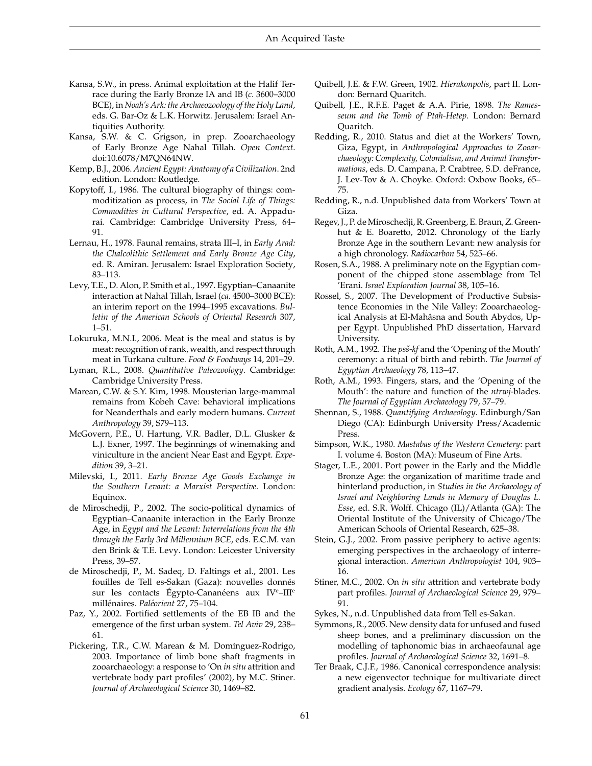- <span id="page-17-0"></span>Kansa, S.W., in press. Animal exploitation at the Halif Terrace during the Early Bronze IA and IB (*c.* 3600–3000 BCE), in *Noah's Ark: the Archaeozoology of the Holy Land*, eds. G. Bar-Oz & L.K. Horwitz. Jerusalem: Israel Antiquities Authority.
- Kansa, S.W. & C. Grigson, in prep. Zooarchaeology of Early Bronze Age Nahal Tillah. *Open Context*. doi:10.6078/M7QN64NW.
- Kemp, B.J., 2006. *Ancient Egypt: Anatomy of a Civilization*. 2nd edition. London: Routledge.
- Kopytoff, I., 1986. The cultural biography of things: commoditization as process, in *The Social Life of Things: Commodities in Cultural Perspective*, ed. A. Appadurai. Cambridge: Cambridge University Press, 64– 91.
- Lernau, H., 1978. Faunal remains, strata III–I, in *Early Arad: the Chalcolithic Settlement and Early Bronze Age City*, ed. R. Amiran. Jerusalem: Israel Exploration Society, 83–113.
- Levy, T.E., D. Alon, P. Smith et al., 1997. Egyptian–Canaanite interaction at Nahal Tillah, Israel (*ca.* 4500–3000 BCE): an interim report on the 1994–1995 excavations. *Bulletin of the American Schools of Oriental Research* 307, 1–51.
- Lokuruka, M.N.I., 2006. Meat is the meal and status is by meat: recognition of rank, wealth, and respect through meat in Turkana culture. *Food & Foodways* 14, 201–29.
- Lyman, R.L., 2008. *Quantitative Paleozoology*. Cambridge: Cambridge University Press.
- Marean, C.W. & S.Y. Kim, 1998. Mousterian large-mammal remains from Kobeh Cave: behavioral implications for Neanderthals and early modern humans. *Current Anthropology* 39, S79–113.
- McGovern, P.E., U. Hartung, V.R. Badler, D.L. Glusker & L.J. Exner, 1997. The beginnings of winemaking and viniculture in the ancient Near East and Egypt. *Expedition* 39, 3–21.
- Milevski, I., 2011. *Early Bronze Age Goods Exchange in the Southern Levant: a Marxist Perspective*. London: Equinox.
- de Miroschedji, P., 2002. The socio-political dynamics of Egyptian–Canaanite interaction in the Early Bronze Age, in *Egypt and the Levant: Interrelations from the 4th through the Early 3rd Millennium BCE*, eds. E.C.M. van den Brink & T.E. Levy. London: Leicester University Press, 39–57.
- de Miroschedji, P., M. Sadeq, D. Faltings et al., 2001. Les fouilles de Tell es-Sakan (Gaza): nouvelles donnés sur les contacts Égypto-Cananéens aux IV<sup>e</sup>–III<sup>e</sup> millenaires. ´ *Paleorient ´* 27, 75–104.
- Paz, Y., 2002. Fortified settlements of the EB IB and the emergence of the first urban system. *Tel Aviv* 29, 238– 61.
- Pickering, T.R., C.W. Marean & M. Domínguez-Rodrigo, 2003. Importance of limb bone shaft fragments in zooarchaeology: a response to 'On *in situ* attrition and vertebrate body part profiles' (2002), by M.C. Stiner. *Journal of Archaeological Science* 30, 1469–82.
- Quibell, J.E. & F.W. Green, 1902. *Hierakonpolis*, part II. London: Bernard Quaritch.
- Quibell, J.E., R.F.E. Paget & A.A. Pirie, 1898. *The Ramesseum and the Tomb of Ptah-Hetep*. London: Bernard Quaritch.
- Redding, R., 2010. Status and diet at the Workers' Town, Giza, Egypt, in *Anthropological Approaches to Zooarchaeology: Complexity, Colonialism, and Animal Transformations*, eds. D. Campana, P. Crabtree, S.D. deFrance, J. Lev-Tov & A. Choyke. Oxford: Oxbow Books, 65– 75.
- Redding, R., n.d. Unpublished data from Workers' Town at Giza.
- Regev, J., P. deMiroschedji, R. Greenberg, E. Braun, Z. Greenhut & E. Boaretto, 2012. Chronology of the Early Bronze Age in the southern Levant: new analysis for a high chronology. *Radiocarbon* 54, 525–66.
- Rosen, S.A., 1988. A preliminary note on the Egyptian component of the chipped stone assemblage from Tel 'Erani. *Israel Exploration Journal* 38, 105–16.
- Rossel, S., 2007. The Development of Productive Subsistence Economies in the Nile Valley: Zooarchaeological Analysis at El-Mahâsna and South Abydos, Upper Egypt. Unpublished PhD dissertation, Harvard University.
- Roth, A.M., 1992. The *psš-kf* and the 'Opening of the Mouth' ceremony: a ritual of birth and rebirth. *The Journal of Egyptian Archaeology* 78, 113–47.
- Roth, A.M., 1993. Fingers, stars, and the 'Opening of the Mouth': the nature and function of the *ntrwj*-blades. *The Journal of Egyptian Archaeology* 79, 57–79.
- Shennan, S., 1988. *Quantifying Archaeology*. Edinburgh/San Diego (CA): Edinburgh University Press/Academic Press.
- Simpson, W.K., 1980. *Mastabas of the Western Cemetery*: part I. volume 4. Boston (MA): Museum of Fine Arts.
- Stager, L.E., 2001. Port power in the Early and the Middle Bronze Age: the organization of maritime trade and hinterland production, in *Studies in the Archaeology of Israel and Neighboring Lands in Memory of Douglas L. Esse*, ed. S.R. Wolff. Chicago (IL)/Atlanta (GA): The Oriental Institute of the University of Chicago/The American Schools of Oriental Research, 625–38.
- Stein, G.J., 2002. From passive periphery to active agents: emerging perspectives in the archaeology of interregional interaction. *American Anthropologist* 104, 903– 16.
- Stiner, M.C., 2002. On *in situ* attrition and vertebrate body part profiles. *Journal of Archaeological Science* 29, 979– 91.
- Sykes, N., n.d. Unpublished data from Tell es-Sakan.
- Symmons, R., 2005. New density data for unfused and fused sheep bones, and a preliminary discussion on the modelling of taphonomic bias in archaeofaunal age profiles. *Journal of Archaeological Science* 32, 1691–8.
- Ter Braak, C.J.F., 1986. Canonical correspondence analysis: a new eigenvector technique for multivariate direct gradient analysis. *Ecology* 67, 1167–79.